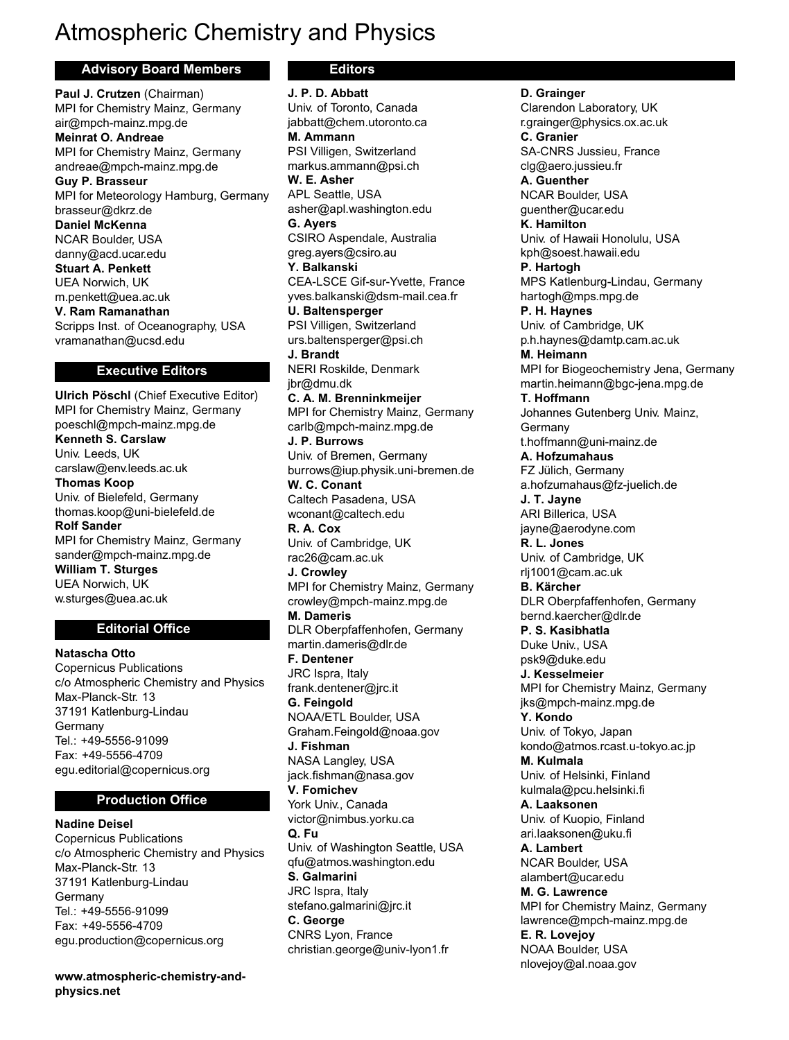# Atmospheric Chemistry and Physics

#### **Advisory Board Members**

**Paul J. Crutzen** (Chairman) MPI for Chemistry Mainz, Germany air@mpch-mainz.mpg.de **Meinrat O. Andreae** MPI for Chemistry Mainz, Germany andreae@mpch-mainz.mpg.de **Guy P. Brasseur** MPI for Meteorology Hamburg, Germany brasseur@dkrz.de **Daniel McKenna** NCAR Boulder, USA danny@acd.ucar.edu **Stuart A. Penkett** UEA Norwich, UK m.penkett@uea.ac.uk **V. Ram Ramanathan** Scripps Inst. of Oceanography, USA vramanathan@ucsd.edu

#### **Executive Editors**

**Ulrich Pöschl** (Chief Executive Editor) MPI for Chemistry Mainz, Germany poeschl@mpch-mainz.mpg.de **Kenneth S. Carslaw** Univ. Leeds, UK carslaw@env.leeds.ac.uk **Thomas Koop** Univ. of Bielefeld, Germany thomas.koop@uni-bielefeld.de **Rolf Sander** MPI for Chemistry Mainz, Germany sander@mpch-mainz.mpg.de **William T. Sturges** UEA Norwich, UK w.sturges@uea.ac.uk

### **Editorial Office**

**Natascha Otto** Copernicus Publications c/o Atmospheric Chemistry and Physics Max-Planck-Str. 13 37191 Katlenburg-Lindau Germany Tel.: +49-5556-91099 Fax: +49-5556-4709 egu.editorial@copernicus.org

#### **Production Office**

**Nadine Deisel** Copernicus Publications c/o Atmospheric Chemistry and Physics Max-Planck-Str. 13 37191 Katlenburg-Lindau Germany Tel.: +49-5556-91099 Fax: +49-5556-4709 egu.production@copernicus.org

**www.atmospheric-chemistry-andphysics.net**

# **Editors**

**J. P. D. Abbatt** Univ. of Toronto, Canada jabbatt@chem.utoronto.ca **M. Ammann** PSI Villigen, Switzerland markus.ammann@psi.ch **W. E. Asher** APL Seattle, USA asher@apl.washington.edu **G. Ayers** CSIRO Aspendale, Australia greg.ayers@csiro.au **Y. Balkanski** CEA-LSCE Gif-sur-Yvette, France yves.balkanski@dsm-mail.cea.fr **U. Baltensperger** PSI Villigen, Switzerland urs.baltensperger@psi.ch **J. Brandt** NERI Roskilde, Denmark jbr@dmu.dk **C. A. M. Brenninkmeijer** MPI for Chemistry Mainz, Germany carlb@mpch-mainz.mpg.de **J. P. Burrows** Univ. of Bremen, Germany burrows@iup.physik.uni-bremen.de **W. C. Conant** Caltech Pasadena, USA wconant@caltech.edu **R. A. Cox** Univ. of Cambridge, UK rac26@cam.ac.uk **J. Crowley** MPI for Chemistry Mainz, Germany crowley@mpch-mainz.mpg.de **M. Dameris** DLR Oberpfaffenhofen, Germany martin.dameris@dlr.de **F. Dentener** JRC Ispra, Italy frank.dentener@jrc.it **G. Feingold** NOAA/ETL Boulder, USA Graham.Feingold@noaa.gov **J. Fishman** NASA Langley, USA jack.fishman@nasa.gov **V. Fomichev** York Univ., Canada victor@nimbus.yorku.ca **Q. Fu** Univ. of Washington Seattle, USA qfu@atmos.washington.edu **S. Galmarini** JRC Ispra, Italy stefano.galmarini@jrc.it **C. George** CNRS Lyon, France christian.george@univ-lyon1.fr

**D. Grainger** Clarendon Laboratory, UK r.grainger@physics.ox.ac.uk **C. Granier** SA-CNRS Jussieu, France clg@aero.jussieu.fr **A. Guenther** NCAR Boulder, USA guenther@ucar.edu **K. Hamilton** Univ. of Hawaii Honolulu, USA kph@soest.hawaii.edu **P. Hartogh** MPS Katlenburg-Lindau, Germany hartogh@mps.mpg.de **P. H. Haynes** Univ. of Cambridge, UK p.h.haynes@damtp.cam.ac.uk **M. Heimann** MPI for Biogeochemistry Jena, Germany martin.heimann@bgc-jena.mpg.de **T. Hoffmann** Johannes Gutenberg Univ. Mainz, Germany t.hoffmann@uni-mainz.de **A. Hofzumahaus** FZ Jülich, Germany a.hofzumahaus@fz-juelich.de **J. T. Jayne** ARI Billerica, USA jayne@aerodyne.com **R. L. Jones** Univ. of Cambridge, UK rlj1001@cam.ac.uk **B. Kärcher** DLR Oberpfaffenhofen, Germany bernd.kaercher@dlr.de **P. S. Kasibhatla** Duke Univ., USA psk9@duke.edu **J. Kesselmeier** MPI for Chemistry Mainz, Germany jks@mpch-mainz.mpg.de **Y. Kondo** Univ. of Tokyo, Japan kondo@atmos.rcast.u-tokyo.ac.jp **M. Kulmala** Univ. of Helsinki, Finland kulmala@pcu.helsinki.fi **A. Laaksonen** Univ. of Kuopio, Finland ari.laaksonen@uku.fi **A. Lambert** NCAR Boulder, USA alambert@ucar.edu **M. G. Lawrence** MPI for Chemistry Mainz, Germany lawrence@mpch-mainz.mpg.de **E. R. Lovejoy** NOAA Boulder, USA nlovejoy@al.noaa.gov